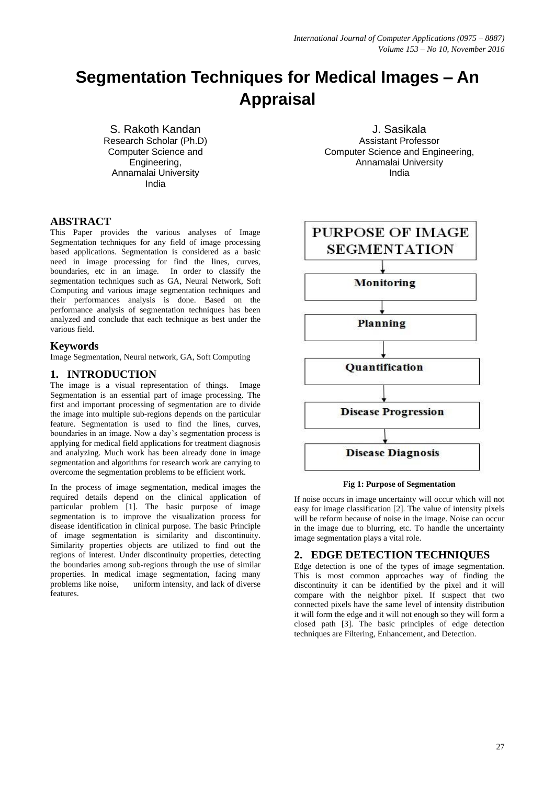# **Segmentation Techniques for Medical Images – An Appraisal**

S. Rakoth Kandan Research Scholar (Ph.D) Computer Science and Engineering, Annamalai University India

J. Sasikala Assistant Professor Computer Science and Engineering, Annamalai University India

# **ABSTRACT**

This Paper provides the various analyses of Image Segmentation techniques for any field of image processing based applications. Segmentation is considered as a basic need in image processing for find the lines, curves, boundaries, etc in an image. In order to classify the segmentation techniques such as GA, Neural Network, Soft Computing and various image segmentation techniques and their performances analysis is done. Based on the performance analysis of segmentation techniques has been analyzed and conclude that each technique as best under the various field.

#### **Keywords**

Image Segmentation, Neural network, GA, Soft Computing

# **1. INTRODUCTION**

The image is a visual representation of things. Image Segmentation is an essential part of image processing. The first and important processing of segmentation are to divide the image into multiple sub-regions depends on the particular feature. Segmentation is used to find the lines, curves, boundaries in an image. Now a day's segmentation process is applying for medical field applications for treatment diagnosis and analyzing. Much work has been already done in image segmentation and algorithms for research work are carrying to overcome the segmentation problems to be efficient work.

In the process of image segmentation, medical images the required details depend on the clinical application of particular problem [1]. The basic purpose of image segmentation is to improve the visualization process for disease identification in clinical purpose. The basic Principle of image segmentation is similarity and discontinuity. Similarity properties objects are utilized to find out the regions of interest. Under discontinuity properties, detecting the boundaries among sub-regions through the use of similar properties. In medical image segmentation, facing many problems like noise, uniform intensity, and lack of diverse features.



#### **Fig 1: Purpose of Segmentation**

If noise occurs in image uncertainty will occur which will not easy for image classification [2]. The value of intensity pixels will be reform because of noise in the image. Noise can occur in the image due to blurring, etc. To handle the uncertainty image segmentation plays a vital role.

#### **2. EDGE DETECTION TECHNIQUES**

Edge detection is one of the types of image segmentation. This is most common approaches way of finding the discontinuity it can be identified by the pixel and it will compare with the neighbor pixel. If suspect that two connected pixels have the same level of intensity distribution it will form the edge and it will not enough so they will form a closed path [3]. The basic principles of edge detection techniques are Filtering, Enhancement, and Detection.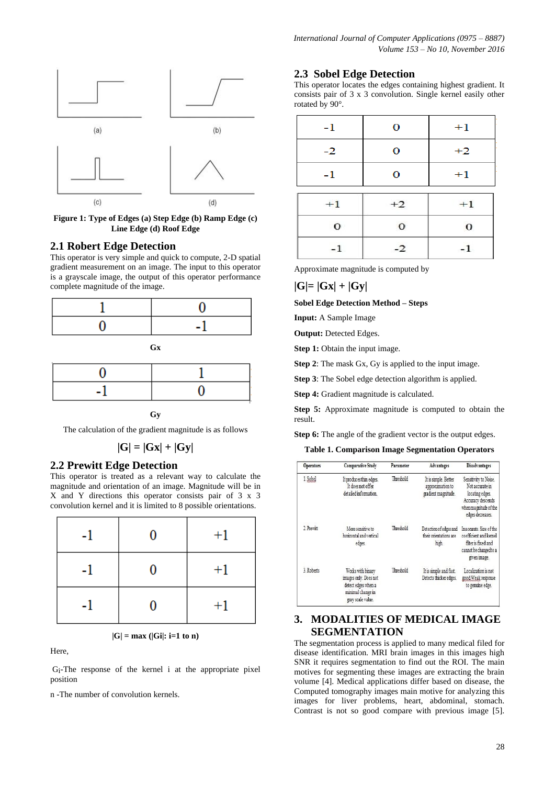

**Figure 1: Type of Edges (a) Step Edge (b) Ramp Edge (c) Line Edge (d) Roof Edge**

# **2.1 Robert Edge Detection**

This operator is very simple and quick to compute, 2-D spatial gradient measurement on an image. The input to this operator is a grayscale image, the output of this operator performance complete magnitude of the image.



**Gy**

The calculation of the gradient magnitude is as follows

$$
|G|=|Gx|+|Gy|
$$

#### **2.2 Prewitt Edge Detection**

This operator is treated as a relevant way to calculate the magnitude and orientation of an image. Magnitude will be in X and Y directions this operator consists pair of 3 x 3 convolution kernel and it is limited to 8 possible orientations.

| $-1$ | 0 | $+1$ |
|------|---|------|
| -1   | 0 | $+1$ |
| ä,   | N | $+1$ |

 $|G| = max (|Gi|: i=1 to n)$ 

Here,

Gi -The response of the kernel i at the appropriate pixel position

n -The number of convolution kernels.

# **2.3 Sobel Edge Detection**

This operator locates the edges containing highest gradient. It consists pair of 3 x 3 convolution. Single kernel easily other rotated by 90°.

| $-1$     | 0        | $+1$     |  |
|----------|----------|----------|--|
| $-2$     | $\bf o$  | $+2$     |  |
| $-1$     | 0        | $+1$     |  |
| $+1$     | $+2$     | $+1$     |  |
| $\Omega$ | $\bf{0}$ | $\bf{0}$ |  |
| -1       | $-2$     |          |  |

Approximate magnitude is computed by

#### **|G|= |Gx| + |Gy|**

**Sobel Edge Detection Method – Steps** 

**Input:** A Sample Image

**Output: Detected Edges.** 

**Step 1:** Obtain the input image.

**Step 2**: The mask Gx, Gy is applied to the input image.

**Step 3**: The Sobel edge detection algorithm is applied.

**Step 4:** Gradient magnitude is calculated.

**Step 5:** Approximate magnitude is computed to obtain the result.

**Step 6:** The angle of the gradient vector is the output edges.

**Table 1. Comparison Image Segmentation Operators**

| <b>Operators</b> | <b>Comparative Study</b>                                                                                    | Parameter | Advantages                                                      | <b>Disadvantages</b>                                                                                                          |
|------------------|-------------------------------------------------------------------------------------------------------------|-----------|-----------------------------------------------------------------|-------------------------------------------------------------------------------------------------------------------------------|
| 1. Sobel         | It produces thin edges.<br>It does not offer<br>detailed information.                                       | Threshold | It is simple. Better<br>approximation to<br>gradient magnitude. | Sensitivity to Noise.<br>Not accurate in<br>locating edges.<br>Accuracy descends<br>when magnitude of the<br>edges decreases. |
| 2. Prewitt       | More sensitive to<br>horizontal and vertical<br>edges.                                                      | Threshold | Detection of edges and<br>their orientations are<br>high.       | Inaccurate. Size of the<br>coefficient and kemel<br>filter is fixed and<br>cannot be changedto a<br>given image.              |
| 3 Roberts        | Works with binary<br>images only. Does not<br>detect edges when a<br>minimal change in<br>grav scale value. | Threshold | It is simple and fast.<br>Detects thicker edges.                | Localization is not<br>good. Weak response<br>to genuine edge.                                                                |

# **3. MODALITIES OF MEDICAL IMAGE SEGMENTATION**

The segmentation process is applied to many medical filed for disease identification. MRI brain images in this images high SNR it requires segmentation to find out the ROI. The main motives for segmenting these images are extracting the brain volume [4]. Medical applications differ based on disease, the Computed tomography images main motive for analyzing this images for liver problems, heart, abdominal, stomach. Contrast is not so good compare with previous image [5].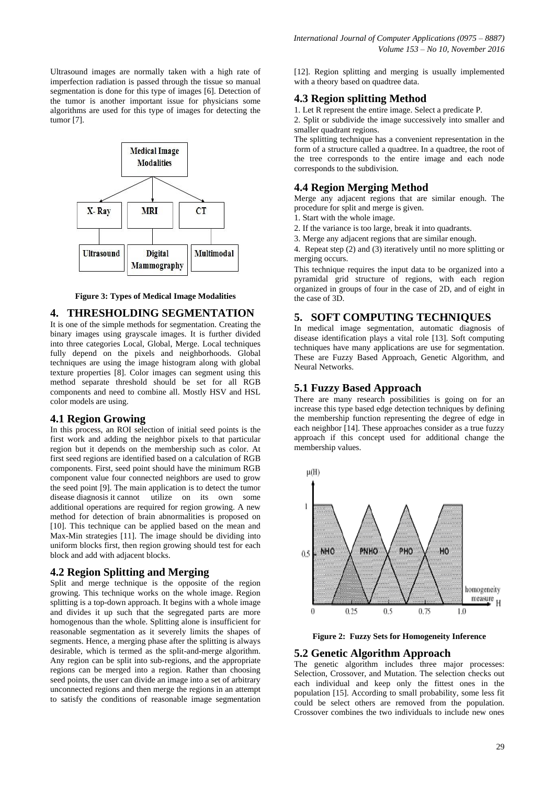Ultrasound images are normally taken with a high rate of imperfection radiation is passed through the tissue so manual segmentation is done for this type of images [6]. Detection of the tumor is another important issue for physicians some algorithms are used for this type of images for detecting the tumor [7].



**Figure 3: Types of Medical Image Modalities**

#### **4. THRESHOLDING SEGMENTATION**

It is one of the simple methods for segmentation. Creating the binary images using grayscale images. It is further divided into three categories Local, Global, Merge. Local techniques fully depend on the pixels and neighborhoods. Global techniques are using the image histogram along with global texture properties [8]. Color images can segment using this method separate threshold should be set for all RGB components and need to combine all. Mostly HSV and HSL color models are using.

#### **4.1 Region Growing**

In this process, an ROI selection of initial seed points is the first work and adding the neighbor pixels to that particular region but it depends on the membership such as color. At first seed regions are identified based on a calculation of RGB components. First, seed point should have the minimum RGB component value four connected neighbors are used to grow the seed point [9]. The main application is to detect the tumor disease diagnosis it cannot utilize on its own some additional operations are required for region growing. A new method for detection of brain abnormalities is proposed on [10]. This technique can be applied based on the mean and Max-Min strategies [11]. The image should be dividing into uniform blocks first, then region growing should test for each block and add with adjacent blocks.

#### **4.2 Region Splitting and Merging**

Split and merge technique is the opposite of the region growing. This technique works on the whole image. Region splitting is a top-down approach. It begins with a whole image and divides it up such that the segregated parts are more homogenous than the whole. Splitting alone is insufficient for reasonable segmentation as it severely limits the shapes of segments. Hence, a merging phase after the splitting is always desirable, which is termed as the split-and-merge algorithm. Any region can be split into sub-regions, and the appropriate regions can be merged into a region. Rather than choosing seed points, the user can divide an image into a set of arbitrary unconnected regions and then merge the regions in an attempt to satisfy the conditions of reasonable image segmentation [12]. Region splitting and merging is usually implemented with a theory based on quadtree data.

#### **4.3 Region splitting Method**

1. Let R represent the entire image. Select a predicate P.

2. Split or subdivide the image successively into smaller and smaller quadrant regions.

The splitting technique has a convenient representation in the form of a structure called a quadtree. In a quadtree, the root of the tree corresponds to the entire image and each node corresponds to the subdivision.

## **4.4 Region Merging Method**

Merge any adjacent regions that are similar enough. The procedure for split and merge is given.

- 1. Start with the whole image.
- 2. If the variance is too large, break it into quadrants.
- 3. Merge any adjacent regions that are similar enough.

4. Repeat step (2) and (3) iteratively until no more splitting or merging occurs.

This technique requires the input data to be organized into a pyramidal grid structure of regions, with each region organized in groups of four in the case of 2D, and of eight in the case of 3D.

# **5. SOFT COMPUTING TECHNIQUES**

In medical image segmentation, automatic diagnosis of disease identification plays a vital role [13]. Soft computing techniques have many applications are use for segmentation. These are Fuzzy Based Approach, Genetic Algorithm, and Neural Networks.

#### **5.1 Fuzzy Based Approach**

There are many research possibilities is going on for an increase this type based edge detection techniques by defining the membership function representing the degree of edge in each neighbor [14]. These approaches consider as a true fuzzy approach if this concept used for additional change the membership values.



**Figure 2: Fuzzy Sets for Homogeneity Inference**

#### **5.2 Genetic Algorithm Approach**

The genetic algorithm includes three major processes: Selection, Crossover, and Mutation. The selection checks out each individual and keep only the fittest ones in the population [15]. According to small probability, some less fit could be select others are removed from the population. Crossover combines the two individuals to include new ones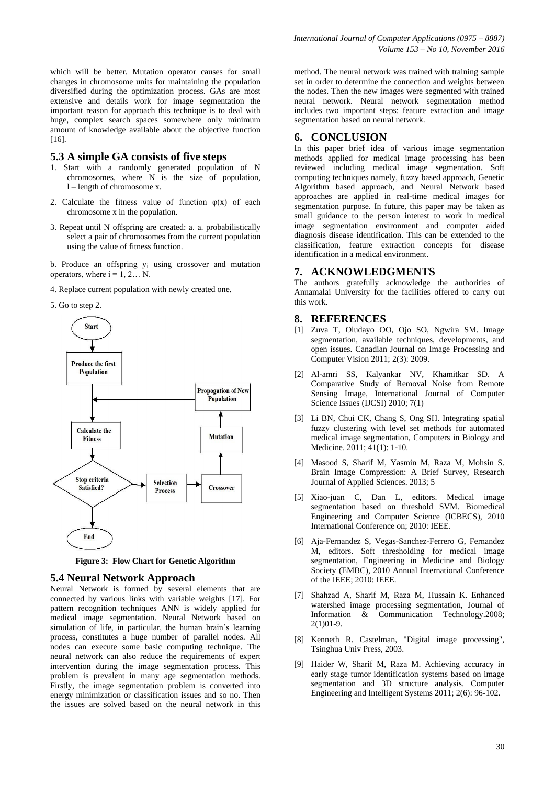which will be better. Mutation operator causes for small changes in chromosome units for maintaining the population diversified during the optimization process. GAs are most extensive and details work for image segmentation the important reason for approach this technique is to deal with huge, complex search spaces somewhere only minimum amount of knowledge available about the objective function [16].

# **5.3 A simple GA consists of five steps**

- 1. Start with a randomly generated population of N chromosomes, where N is the size of population, l – length of chromosome x.
- 2. Calculate the fitness value of function  $\varphi(x)$  of each chromosome x in the population.
- 3. Repeat until N offspring are created: a. a. probabilistically select a pair of chromosomes from the current population using the value of fitness function.

b. Produce an offspring yi using crossover and mutation operators, where  $i = 1, 2... N$ .

4. Replace current population with newly created one.



**Figure 3: Flow Chart for Genetic Algorithm**

#### **5.4 Neural Network Approach**

Neural Network is formed by several elements that are connected by various links with variable weights [17]. For pattern recognition techniques ANN is widely applied for medical image segmentation. Neural Network based on simulation of life, in particular, the human brain's learning process, constitutes a huge number of parallel nodes. All nodes can execute some basic computing technique. The neural network can also reduce the requirements of expert intervention during the image segmentation process. This problem is prevalent in many age segmentation methods. Firstly, the image segmentation problem is converted into energy minimization or classification issues and so no. Then the issues are solved based on the neural network in this

method. The neural network was trained with training sample set in order to determine the connection and weights between the nodes. Then the new images were segmented with trained neural network. Neural network segmentation method includes two important steps: feature extraction and image segmentation based on neural network.

# **6. CONCLUSION**

In this paper brief idea of various image segmentation methods applied for medical image processing has been reviewed including medical image segmentation. Soft computing techniques namely, fuzzy based approach, Genetic Algorithm based approach, and Neural Network based approaches are applied in real-time medical images for segmentation purpose. In future, this paper may be taken as small guidance to the person interest to work in medical image segmentation environment and computer aided diagnosis disease identification. This can be extended to the classification, feature extraction concepts for disease identification in a medical environment.

#### **7. ACKNOWLEDGMENTS**

The authors gratefully acknowledge the authorities of Annamalai University for the facilities offered to carry out this work.

#### **8. REFERENCES**

- [1] Zuva T, Oludayo OO, Ojo SO, Ngwira SM. Image segmentation, available techniques, developments, and open issues. Canadian Journal on Image Processing and Computer Vision 2011; 2(3): 2009.
- [2] Al-amri SS, Kalyankar NV, Khamitkar SD. A Comparative Study of Removal Noise from Remote Sensing Image, International Journal of Computer Science Issues (IJCSI) 2010; 7(1)
- [3] Li BN, Chui CK, Chang S, Ong SH. Integrating spatial fuzzy clustering with level set methods for automated medical image segmentation, Computers in Biology and Medicine. 2011; 41(1): 1-10.
- [4] Masood S, Sharif M, Yasmin M, Raza M, Mohsin S. Brain Image Compression: A Brief Survey, Research Journal of Applied Sciences. 2013; 5
- [5] Xiao-juan C, Dan L, editors. Medical image segmentation based on threshold SVM. Biomedical Engineering and Computer Science (ICBECS), 2010 International Conference on; 2010: IEEE.
- [6] Aja-Fernandez S, Vegas-Sanchez-Ferrero G, Fernandez M, editors. Soft thresholding for medical image segmentation, Engineering in Medicine and Biology Society (EMBC), 2010 Annual International Conference of the IEEE; 2010: IEEE.
- [7] Shahzad A, Sharif M, Raza M, Hussain K. Enhanced watershed image processing segmentation, Journal of Information & Communication Technology.2008; 2(1)01-9.
- [8] Kenneth R. Castelman, "Digital image processing", Tsinghua Univ Press, 2003.
- [9] Haider W, Sharif M, Raza M. Achieving accuracy in early stage tumor identification systems based on image segmentation and 3D structure analysis. Computer Engineering and Intelligent Systems 2011; 2(6): 96-102.